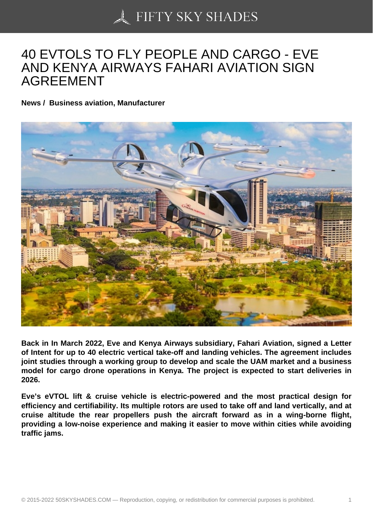## [40 EVTOLS TO FLY P](https://50skyshades.com)EOPLE AND CARGO - EVE AND KENYA AIRWAYS FAHARI AVIATION SIGN AGREEMENT

News / Business aviation, Manufacturer

Back in In March 2022, Eve and Kenya Airways subsidiary, Fahari Aviation, signed a Letter of Intent for up to 40 electric vertical take-off and landing vehicles. The agreement includes joint studies through a working group to develop and scale the UAM market and a business model for cargo drone operations in Kenya. The project is expected to start deliveries in 2026.

Eve's eVTOL lift & cruise vehicle is electric-powered and the most practical design for efficiency and certifiability. Its multiple rotors are used to take off and land vertically, and at cruise altitude the rear propellers push the aircraft forward as in a wing-borne flight, providing a low-noise experience and making it easier to move within cities while avoiding traffic jams.